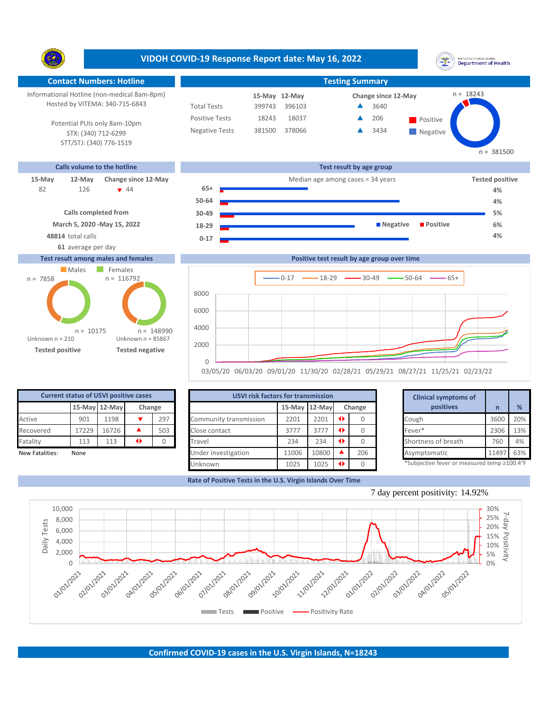**VIDOH COVID-19 Response Report date: May 16, 2022** UNITED STATES VIRGIN ISLANDS<br>Department of Health Y. **Contact Numbers: Hotline Testing Summary** n = 18243 Informational Hotline (non-medical 8am-8pm) **12-May 15-May Change since 12-May** Hosted by VITEMA: 340-715-6843 Total Tests 399743 396103 ▲ 3640 Positive Tests 18243 18037 **A** 206 **Positive**  $\blacktriangle$ 206 Potential PUIs only 8am-10pm Negative Tests 381500 378066 3434  $\blacktriangle$ STX: (340) 712-6299 **Negative** STT/STJ: (340) 776-1519  $n = 381500$ **Calls volume to the hotline Test result by age group 15-May 12-May Change since 12-May Change since 12-May Change and Change among cases = 34 years <b>Tested positive** 126 44 **65+** 82 126 **v** 44 **65+ <del>a contract</del> de la participation de la participation de la participation de la participation de la participation de la participation de la participation de la participation de la participation de la part 50-64 4% Calls completed from 30-49 5% March 5, 2020 -May 15, 2022 18-29 Negative Positive 6% 48814** total calls **4% 0-17 61** average per day **Test result among males and females Positive test result by age group over time** Males Females  $n = 116792$ n = 7858  $0-17$   $\longrightarrow$  18-29  $\longrightarrow$  30-49  $\longrightarrow$  50-64  $\longrightarrow$  65+ 8000

 $\Omega$ 2000 4000 6000

03/05/20 06/03/20 09/01/20 11/30/20 02/28/21 05/29/21 08/27/21 11/25/21 02/23/22

1025 **1025 0** 

| <b>Current status of USVI positive cases</b> |       |               |                     |       |                         | <b>USVI risk factors for transmission</b> |      |               |           |  |                                             |      |     |
|----------------------------------------------|-------|---------------|---------------------|-------|-------------------------|-------------------------------------------|------|---------------|-----------|--|---------------------------------------------|------|-----|
|                                              |       | 15-May 12-May | Change              |       |                         | 15-May 12-May                             |      |               | Change    |  | positives                                   |      |     |
| Active                                       | 901   | 1198          |                     | 297   | Community transmission  | 2201                                      | 2201 | $\rightarrow$ |           |  | Cough                                       | 3600 | 20% |
| Recovered                                    | 17229 | 16726         |                     | 503   | Close contact           | 3777                                      | 3777 | $\rightarrow$ |           |  | Fever*                                      | 2306 | 13% |
| Fatality                                     | 113   | 113           |                     |       | Travel                  | 234                                       | 234  |               |           |  | Shortness of breath                         | 760  | 4%  |
| New Fatalities:                              | None  |               | Under investigation | 11006 | 10800<br>206            |                                           |      | Asymptomatic  | 11497 63% |  |                                             |      |     |
|                                              |       |               |                     |       | 1025<br>1025<br>Unknown |                                           |      |               |           |  | *Subjective fever or measured temp ≥100.4°F |      |     |

<sup>|}</sup> \*Subjective fever or measured temp ≥100.4°F



**Rate of Positive Tests in the U.S. Virgin Islands Over Time**

Unknown

Unknown n = 210

Unknown n = 85867

n = 148990

**Tested positive Tested negative**

 $n = 10175$ 

7 day percent positivity: 14.92%